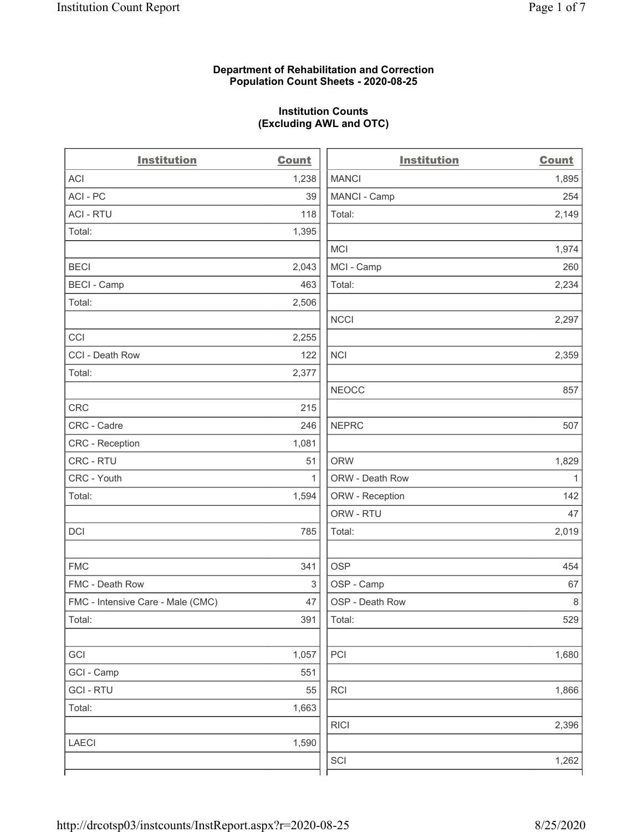# Department of Rehabilitation and Correction Population Count Sheets - 2020-08-25

# Institution Counts (Excluding AWL and OTC)

 $\overline{a}$ 

| <b>Institution</b>                | <b>Count</b> | <b>Institution</b> | <b>Count</b> |
|-----------------------------------|--------------|--------------------|--------------|
| ACI                               | 1,238        | <b>MANCI</b>       | 1,895        |
| ACI - PC                          | 39           | MANCI - Camp       | 254          |
| <b>ACI - RTU</b>                  | 118          | Total:             | 2,149        |
| Total:                            | 1,395        |                    |              |
|                                   |              | <b>MCI</b>         | 1,974        |
| <b>BECI</b>                       | 2,043        | MCI - Camp         | 260          |
| <b>BECI - Camp</b>                | 463          | Total:             | 2,234        |
| Total:                            | 2,506        |                    |              |
|                                   |              | <b>NCCI</b>        | 2,297        |
| CCI                               | 2,255        |                    |              |
| CCI - Death Row                   | 122          | <b>NCI</b>         | 2,359        |
| Total:                            | 2,377        |                    |              |
|                                   |              | <b>NEOCC</b>       | 857          |
| CRC                               | 215          |                    |              |
| CRC - Cadre                       | 246          | <b>NEPRC</b>       | 507          |
| CRC - Reception                   | 1,081        |                    |              |
| CRC - RTU                         | 51           | <b>ORW</b>         | 1,829        |
| CRC - Youth                       | $\mathbf{1}$ | ORW - Death Row    | $\mathbf{1}$ |
| Total:                            | 1,594        | ORW - Reception    | 142          |
|                                   |              | ORW - RTU          | 47           |
| DCI                               | 785          | Total:             | 2,019        |
| <b>FMC</b>                        | 341          | <b>OSP</b>         | 454          |
| FMC - Death Row                   | 3            | OSP - Camp         | 67           |
| FMC - Intensive Care - Male (CMC) | 47           | OSP - Death Row    | $\,8\,$      |
| Total:                            | 391          | Total:             | 529          |
| GCI                               | 1,057        | PCI                | 1,680        |
| GCI - Camp                        | 551          |                    |              |
| <b>GCI-RTU</b>                    | 55           | RCI                | 1,866        |
| Total:                            | 1,663        |                    |              |
|                                   |              | <b>RICI</b>        | 2,396        |
| <b>LAECI</b>                      | 1,590        |                    |              |
|                                   |              | SCI                | 1,262        |
|                                   |              |                    |              |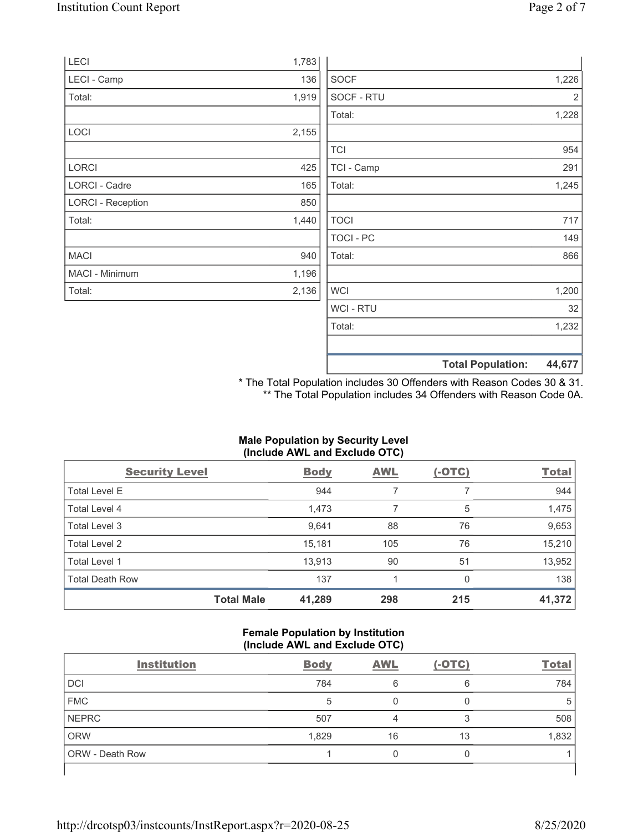|       |                  | <b>Total Population:</b> | 44,677 |
|-------|------------------|--------------------------|--------|
|       |                  |                          |        |
|       | Total:           |                          | 1,232  |
|       | <b>WCI-RTU</b>   |                          | 32     |
| 2,136 | <b>WCI</b>       |                          | 1,200  |
| 1,196 |                  |                          |        |
| 940   | Total:           |                          | 866    |
|       | <b>TOCI - PC</b> |                          | 149    |
| 1,440 | <b>TOCI</b>      |                          | 717    |
| 850   |                  |                          |        |
| 165   | Total:           |                          | 1,245  |
| 425   | TCI - Camp       |                          | 291    |
|       | <b>TCI</b>       |                          | 954    |
| 2,155 |                  |                          |        |
|       | Total:           |                          | 1,228  |
| 1,919 | SOCF - RTU       |                          | 2      |
| 136   | <b>SOCF</b>      |                          | 1,226  |
| 1,783 |                  |                          |        |
|       |                  |                          |        |

\* The Total Population includes 30 Offenders with Reason Codes 30 & 31. \*\* The Total Population includes 34 Offenders with Reason Code 0A.

# Male Population by Security Level (Include AWL and Exclude OTC)

| <b>Security Level</b>  |                   | <b>Body</b> | <b>AWL</b> | $(-OTC)$ | <b>Total</b> |
|------------------------|-------------------|-------------|------------|----------|--------------|
| <b>Total Level E</b>   |                   | 944         |            |          | 944          |
| Total Level 4          |                   | 1,473       |            | 5        | 1,475        |
| Total Level 3          |                   | 9,641       | 88         | 76       | 9,653        |
| Total Level 2          |                   | 15,181      | 105        | 76       | 15,210       |
| Total Level 1          |                   | 13,913      | 90         | 51       | 13,952       |
| <b>Total Death Row</b> |                   | 137         |            | $\Omega$ | 138          |
|                        | <b>Total Male</b> | 41,289      | 298        | 215      | 41,372       |

#### Female Population by Institution (Include AWL and Exclude OTC)

| <b>Institution</b>     | <b>Body</b> | <b>AWL</b> | $(-OTC)$ | <b>Total</b> |
|------------------------|-------------|------------|----------|--------------|
| <b>DCI</b>             | 784         | 6          | 6        | 784          |
| <b>FMC</b>             | 5           |            |          |              |
| <b>NEPRC</b>           | 507         |            |          | 508          |
| <b>ORW</b>             | 1,829       | 16         | 13       | 1,832        |
| <b>ORW</b> - Death Row |             |            |          |              |
|                        |             |            |          |              |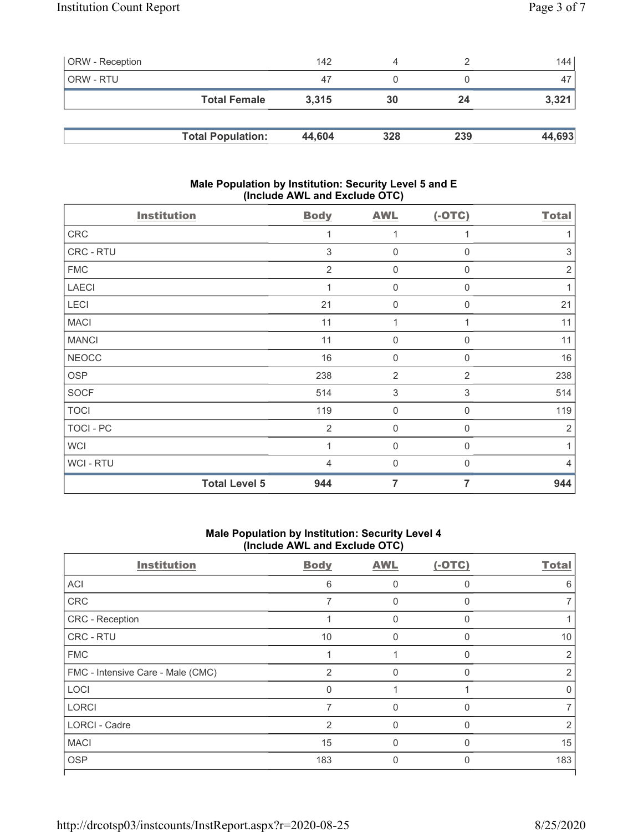| <b>ORW</b> - Reception |                          | 142    |     |     | 144    |
|------------------------|--------------------------|--------|-----|-----|--------|
| ORW - RTU              |                          | 47     |     |     | 47     |
|                        | <b>Total Female</b>      | 3.315  | 30  | 24  | 3,321  |
|                        |                          |        |     |     |        |
|                        | <b>Total Population:</b> | 44,604 | 328 | 239 | 44,693 |

# Male Population by Institution: Security Level 5 and E (Include AWL and Exclude OTC)

| <b>Institution</b>   | <b>Body</b>    | <b>AWL</b>       | $(-OTC)$     | <b>Total</b>   |
|----------------------|----------------|------------------|--------------|----------------|
| CRC                  | 1              | $\mathbf{1}$     | $\mathbf{1}$ |                |
| CRC - RTU            | 3              | 0                | $\mathbf 0$  | 3              |
| <b>FMC</b>           | $\overline{2}$ | $\mathbf 0$      | 0            | $\overline{2}$ |
| LAECI                | 1              | $\mathbf 0$      | $\mathbf 0$  | 1              |
| LECI                 | 21             | $\overline{0}$   | 0            | 21             |
| <b>MACI</b>          | 11             | 1                |              | 11             |
| <b>MANCI</b>         | 11             | $\mathbf 0$      | 0            | 11             |
| <b>NEOCC</b>         | 16             | $\mathbf 0$      | $\Omega$     | 16             |
| <b>OSP</b>           | 238            | $\overline{2}$   | 2            | 238            |
| <b>SOCF</b>          | 514            | $\sqrt{3}$       | 3            | 514            |
| <b>TOCI</b>          | 119            | $\boldsymbol{0}$ | $\mathbf 0$  | 119            |
| TOCI - PC            | $\overline{2}$ | 0                | $\mathbf 0$  | $\overline{2}$ |
| <b>WCI</b>           | 1              | $\mathbf 0$      | $\mathbf 0$  | 1              |
| <b>WCI-RTU</b>       | 4              | $\mathbf 0$      | $\Omega$     | 4              |
| <b>Total Level 5</b> | 944            | 7                | 7            | 944            |

# Male Population by Institution: Security Level 4 (Include AWL and Exclude OTC)

| <b>Institution</b>                | <b>Body</b> | <b>AWL</b> | $(-OTC)$ | <b>Total</b> |
|-----------------------------------|-------------|------------|----------|--------------|
| <b>ACI</b>                        | 6           | O          |          | 6            |
| CRC                               |             | O          |          |              |
| <b>CRC</b> - Reception            |             | O          |          |              |
| <b>CRC - RTU</b>                  | 10          | 0          | O        | 10           |
| <b>FMC</b>                        |             |            |          | 2            |
| FMC - Intensive Care - Male (CMC) | 2           | O          |          | 2            |
| LOCI                              | $\Omega$    |            |          | 0            |
| <b>LORCI</b>                      |             | 0          | $\Omega$ |              |
| <b>LORCI - Cadre</b>              | 2           | $\Omega$   |          | 2            |
| <b>MACI</b>                       | 15          | $\Omega$   |          | 15           |
| <b>OSP</b>                        | 183         | 0          |          | 183          |
|                                   |             |            |          |              |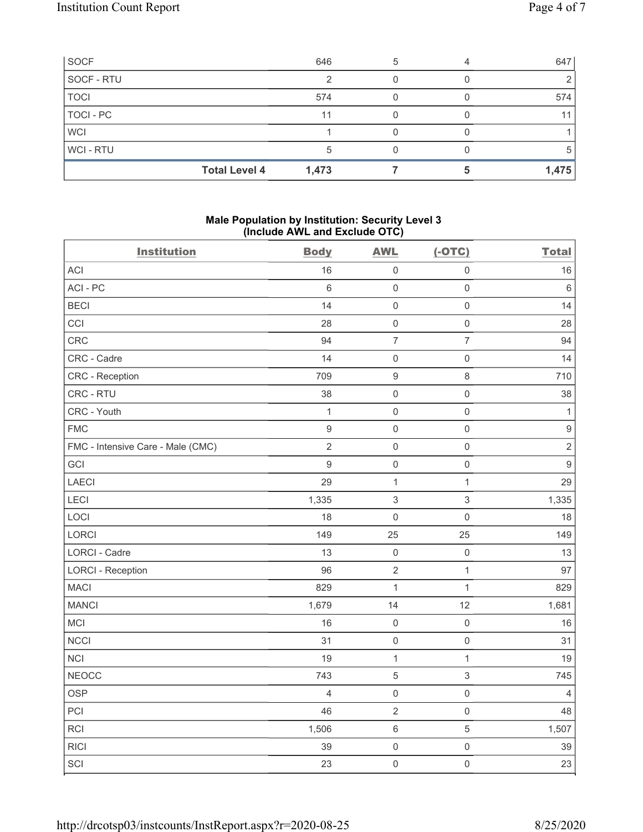| SOCF        | 646                           | 5 | 647          |
|-------------|-------------------------------|---|--------------|
| SOCF - RTU  |                               |   |              |
| <b>TOCI</b> | 574                           |   | 574          |
| TOCI - PC   | 11                            |   | 11           |
| <b>WCI</b>  |                               |   |              |
| WCI-RTU     |                               |   | <sub>5</sub> |
|             | <b>Total Level 4</b><br>1,473 |   | 1,475        |

# Male Population by Institution: Security Level 3 (Include AWL and Exclude OTC)

| <b>Institution</b>                | <b>Body</b>      | <b>AWL</b>          | $(-OTC)$            | <b>Total</b>     |
|-----------------------------------|------------------|---------------------|---------------------|------------------|
| ACI                               | 16               | $\mathsf 0$         | $\mathsf 0$         | 16               |
| ACI-PC                            | $\,6\,$          | $\mathsf{O}\xspace$ | $\mathsf{O}\xspace$ | $\,6\,$          |
| <b>BECI</b>                       | 14               | $\mathsf 0$         | $\mathsf{O}\xspace$ | 14               |
| CCI                               | 28               | $\mathsf 0$         | $\mathsf{O}\xspace$ | 28               |
| CRC                               | 94               | $\overline{7}$      | $\overline{7}$      | 94               |
| CRC - Cadre                       | 14               | $\mathbf 0$         | $\mathsf 0$         | 14               |
| CRC - Reception                   | 709              | $\boldsymbol{9}$    | $\,8\,$             | 710              |
| CRC - RTU                         | 38               | $\mathbf 0$         | $\mathsf{O}\xspace$ | 38               |
| CRC - Youth                       | $\mathbf{1}$     | $\mathbf 0$         | $\mathsf 0$         | $\mathbf{1}$     |
| <b>FMC</b>                        | $\boldsymbol{9}$ | $\mathsf 0$         | $\mathsf{O}\xspace$ | $\boldsymbol{9}$ |
| FMC - Intensive Care - Male (CMC) | $\sqrt{2}$       | $\mathsf 0$         | $\mathsf 0$         | $\sqrt{2}$       |
| GCI                               | $\overline{9}$   | $\mathbf 0$         | $\mathsf{O}\xspace$ | $9\,$            |
| LAECI                             | 29               | $\mathbf{1}$        | $\mathbf{1}$        | 29               |
| LECI                              | 1,335            | $\sqrt{3}$          | $\mathfrak{S}$      | 1,335            |
| LOCI                              | 18               | $\mathsf{O}\xspace$ | $\mathsf{O}\xspace$ | 18               |
| LORCI                             | 149              | 25                  | 25                  | 149              |
| <b>LORCI - Cadre</b>              | 13               | $\mathsf 0$         | $\mathsf{O}\xspace$ | 13               |
| <b>LORCI - Reception</b>          | 96               | $\sqrt{2}$          | $\mathbf{1}$        | 97               |
| <b>MACI</b>                       | 829              | $\mathbf{1}$        | $\mathbf{1}$        | 829              |
| <b>MANCI</b>                      | 1,679            | 14                  | 12                  | 1,681            |
| MCI                               | 16               | $\mathsf 0$         | $\mathsf{O}\xspace$ | 16               |
| <b>NCCI</b>                       | 31               | $\mathsf 0$         | $\mathsf{O}\xspace$ | 31               |
| <b>NCI</b>                        | 19               | $\mathbf{1}$        | $\mathbf{1}$        | 19               |
| <b>NEOCC</b>                      | 743              | $\mathbf 5$         | $\sqrt{3}$          | 745              |
| <b>OSP</b>                        | $\overline{4}$   | $\mathsf{O}\xspace$ | $\mathsf{O}\xspace$ | $\overline{4}$   |
| PCI                               | 46               | $\sqrt{2}$          | $\mathsf{O}\xspace$ | 48               |
| RCI                               | 1,506            | $\,6\,$             | $\sqrt{5}$          | 1,507            |
| <b>RICI</b>                       | 39               | $\mathsf 0$         | $\mathsf{O}\xspace$ | 39               |
| SCI                               | 23               | $\mathsf{O}\xspace$ | $\mathsf{O}\xspace$ | 23               |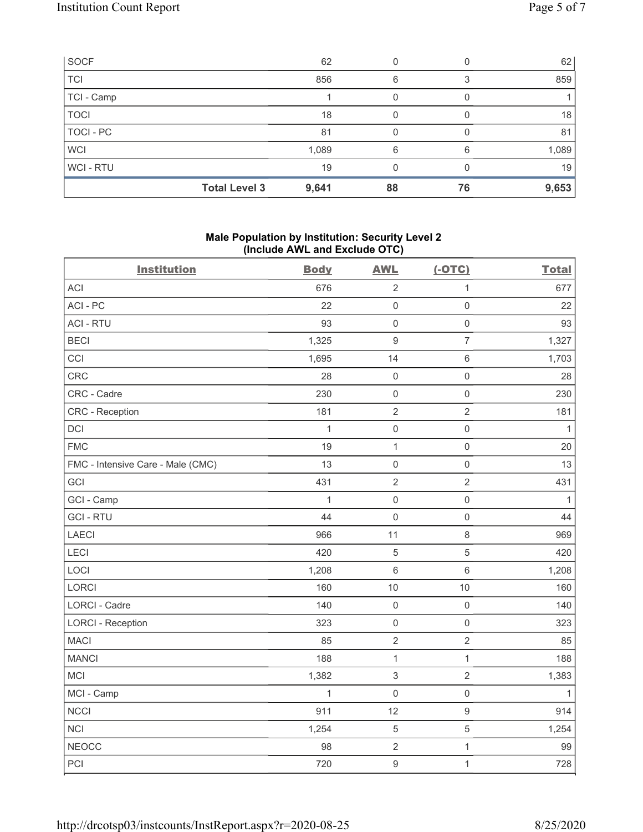| SOCF        |                      | 62    |    |    | 62    |
|-------------|----------------------|-------|----|----|-------|
| <b>TCI</b>  |                      | 856   | 6  |    | 859   |
| TCI - Camp  |                      |       |    |    |       |
| <b>TOCI</b> |                      | 18    | 0  |    | 18    |
| TOCI - PC   |                      | 81    |    |    | 81    |
| <b>WCI</b>  |                      | 1,089 | 6  | 6  | 1,089 |
| WCI - RTU   |                      | 19    | 0  |    | 19    |
|             | <b>Total Level 3</b> | 9,641 | 88 | 76 | 9,653 |

# Male Population by Institution: Security Level 2 (Include AWL and Exclude OTC)

| <b>Institution</b>                | <b>Body</b>  | <b>AWL</b>                | $(-OTC)$            | <b>Total</b> |
|-----------------------------------|--------------|---------------------------|---------------------|--------------|
| <b>ACI</b>                        | 676          | $\sqrt{2}$                | $\mathbf 1$         | 677          |
| ACI-PC                            | 22           | $\mathbf 0$               | $\mathsf{O}\xspace$ | 22           |
| <b>ACI - RTU</b>                  | 93           | $\mathbf 0$               | $\mathsf{O}\xspace$ | 93           |
| <b>BECI</b>                       | 1,325        | $\boldsymbol{9}$          | $\overline{7}$      | 1,327        |
| CCI                               | 1,695        | 14                        | $\,6\,$             | 1,703        |
| CRC                               | 28           | $\mathbf 0$               | $\mathsf{O}\xspace$ | 28           |
| CRC - Cadre                       | 230          | $\mathbf 0$               | $\mathsf 0$         | 230          |
| <b>CRC</b> - Reception            | 181          | $\sqrt{2}$                | $\overline{2}$      | 181          |
| DCI                               | $\mathbf{1}$ | $\mathbf 0$               | $\mathsf 0$         | $\mathbf{1}$ |
| <b>FMC</b>                        | 19           | $\mathbf{1}$              | $\mathsf{O}\xspace$ | 20           |
| FMC - Intensive Care - Male (CMC) | 13           | $\mathbf 0$               | $\mathsf{O}\xspace$ | 13           |
| GCI                               | 431          | $\sqrt{2}$                | $\sqrt{2}$          | 431          |
| GCI - Camp                        | $\mathbf{1}$ | $\mathbf 0$               | $\mathsf 0$         | $\mathbf{1}$ |
| <b>GCI-RTU</b>                    | 44           | $\mathbf 0$               | $\mathsf 0$         | 44           |
| <b>LAECI</b>                      | 966          | 11                        | $\,8\,$             | 969          |
| LECI                              | 420          | $\sqrt{5}$                | $\sqrt{5}$          | 420          |
| LOCI                              | 1,208        | $6\,$                     | $\,6\,$             | 1,208        |
| LORCI                             | 160          | 10                        | 10                  | 160          |
| LORCI - Cadre                     | 140          | $\mathbf 0$               | $\mathsf{O}\xspace$ | 140          |
| <b>LORCI - Reception</b>          | 323          | $\mathbf 0$               | $\mathsf 0$         | 323          |
| <b>MACI</b>                       | 85           | $\sqrt{2}$                | $\sqrt{2}$          | 85           |
| <b>MANCI</b>                      | 188          | $\mathbf 1$               | $\mathbf{1}$        | 188          |
| <b>MCI</b>                        | 1,382        | $\ensuremath{\mathsf{3}}$ | $\sqrt{2}$          | 1,383        |
| MCI - Camp                        | $\mathbf{1}$ | $\mathbf 0$               | $\mathsf 0$         | $\mathbf{1}$ |
| NCCI                              | 911          | 12                        | $\boldsymbol{9}$    | 914          |
| <b>NCI</b>                        | 1,254        | $\,$ 5 $\,$               | $\mathbf 5$         | 1,254        |
| <b>NEOCC</b>                      | 98           | $\sqrt{2}$                | $\mathbf{1}$        | 99           |
| PCI                               | 720          | $\overline{9}$            | $\mathbf{1}$        | 728          |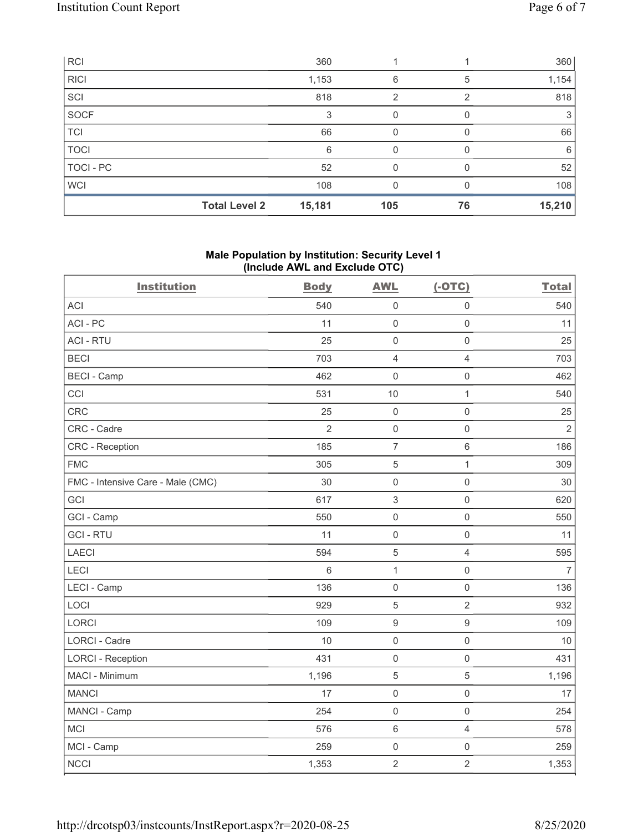| RCI              |                      | 360    |     |    | 360    |
|------------------|----------------------|--------|-----|----|--------|
| <b>RICI</b>      |                      | 1,153  | 6   | 5  | 1,154  |
| SCI              |                      | 818    | 2   | っ  | 818    |
| SOCF             |                      | 3      | 0   |    | 3      |
| <b>TCI</b>       |                      | 66     | 0   |    | 66     |
| <b>TOCI</b>      |                      | 6      | O   |    | 6      |
| <b>TOCI - PC</b> |                      | 52     |     |    | 52     |
| <b>WCI</b>       |                      | 108    |     |    | 108    |
|                  | <b>Total Level 2</b> | 15,181 | 105 | 76 | 15,210 |

# Male Population by Institution: Security Level 1 (Include AWL and Exclude OTC)

| <b>Institution</b>                | <b>Body</b>    | <b>AWL</b>       | $(-OTC)$            | <b>Total</b>   |
|-----------------------------------|----------------|------------------|---------------------|----------------|
| <b>ACI</b>                        | 540            | $\mathbf 0$      | $\mathsf 0$         | 540            |
| ACI-PC                            | 11             | $\mathbf 0$      | $\mathsf{O}\xspace$ | 11             |
| <b>ACI - RTU</b>                  | 25             | $\mathbf 0$      | $\mathsf{O}\xspace$ | 25             |
| <b>BECI</b>                       | 703            | $\overline{4}$   | $\overline{4}$      | 703            |
| <b>BECI - Camp</b>                | 462            | $\mathbf 0$      | $\mathsf 0$         | 462            |
| CCI                               | 531            | 10               | $\mathbf{1}$        | 540            |
| CRC                               | 25             | $\mathbf 0$      | $\mathsf 0$         | 25             |
| CRC - Cadre                       | $\overline{2}$ | $\mathbf 0$      | $\mathsf 0$         | $\overline{2}$ |
| <b>CRC</b> - Reception            | 185            | $\overline{7}$   | $\,6\,$             | 186            |
| <b>FMC</b>                        | 305            | 5                | $\mathbf{1}$        | 309            |
| FMC - Intensive Care - Male (CMC) | 30             | $\mathbf 0$      | $\mathsf{O}\xspace$ | 30             |
| GCI                               | 617            | $\sqrt{3}$       | $\mathbf 0$         | 620            |
| GCI - Camp                        | 550            | $\mathbf 0$      | $\mathbf 0$         | 550            |
| <b>GCI-RTU</b>                    | 11             | $\mathbf 0$      | $\mathbf 0$         | 11             |
| <b>LAECI</b>                      | 594            | 5                | $\overline{4}$      | 595            |
| LECI                              | 6              | $\mathbf 1$      | $\mathsf{O}\xspace$ | $\overline{7}$ |
| LECI - Camp                       | 136            | $\mathbf 0$      | $\mathsf{O}\xspace$ | 136            |
| LOCI                              | 929            | 5                | $\overline{2}$      | 932            |
| <b>LORCI</b>                      | 109            | $\boldsymbol{9}$ | $\boldsymbol{9}$    | 109            |
| <b>LORCI - Cadre</b>              | 10             | $\mathbf 0$      | $\mathsf{O}\xspace$ | 10             |
| <b>LORCI - Reception</b>          | 431            | $\mathbf 0$      | $\mathsf{O}\xspace$ | 431            |
| MACI - Minimum                    | 1,196          | 5                | $\overline{5}$      | 1,196          |
| <b>MANCI</b>                      | 17             | $\mathbf 0$      | $\mathsf{O}\xspace$ | 17             |
| MANCI - Camp                      | 254            | $\mathbf 0$      | $\mathsf{O}\xspace$ | 254            |
| <b>MCI</b>                        | 576            | $6\phantom{1}$   | $\overline{4}$      | 578            |
| MCI - Camp                        | 259            | $\mathbf 0$      | $\mathsf{O}\xspace$ | 259            |
| <b>NCCI</b>                       | 1,353          | $\overline{2}$   | $\overline{2}$      | 1,353          |